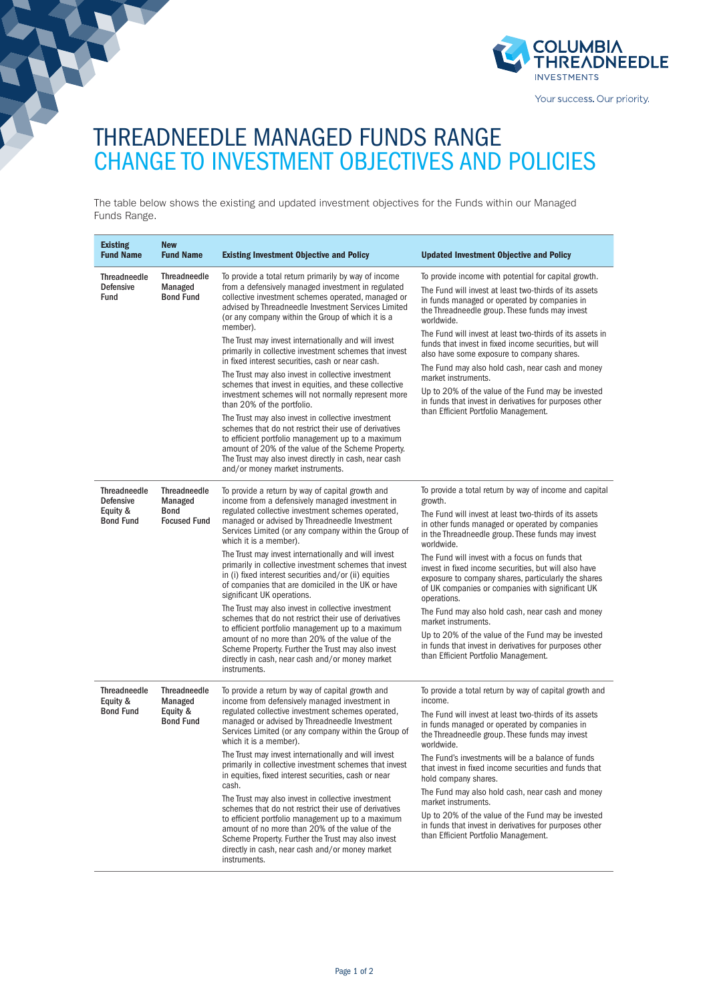

Your success. Our priority.

## THREADNEEDLE MANAGED FUNDS RANGE CHANGE TO INVESTMENT OBJECTIVES AND POLICIES

The table below shows the existing and updated investment objectives for the Funds within our Managed Funds Range.

| <b>Existing</b><br><b>Fund Name</b>                                     | <b>New</b><br><b>Fund Name</b>                                       | <b>Existing Investment Objective and Policy</b>                                                                                                                                                                                                                                                                                                                                                                                                                              | <b>Updated Investment Objective and Policy</b>                                                                                                                                                                                                                                                                                                                                                       |
|-------------------------------------------------------------------------|----------------------------------------------------------------------|------------------------------------------------------------------------------------------------------------------------------------------------------------------------------------------------------------------------------------------------------------------------------------------------------------------------------------------------------------------------------------------------------------------------------------------------------------------------------|------------------------------------------------------------------------------------------------------------------------------------------------------------------------------------------------------------------------------------------------------------------------------------------------------------------------------------------------------------------------------------------------------|
| <b>Threadneedle</b><br><b>Defensive</b><br><b>Fund</b>                  | <b>Threadneedle</b><br>Managed<br><b>Bond Fund</b>                   | To provide a total return primarily by way of income<br>from a defensively managed investment in regulated<br>collective investment schemes operated, managed or<br>advised by Threadneedle Investment Services Limited<br>(or any company within the Group of which it is a<br>member).                                                                                                                                                                                     | To provide income with potential for capital growth.<br>The Fund will invest at least two-thirds of its assets<br>in funds managed or operated by companies in<br>the Threadneedle group. These funds may invest<br>worldwide.                                                                                                                                                                       |
|                                                                         |                                                                      | The Trust may invest internationally and will invest<br>primarily in collective investment schemes that invest<br>in fixed interest securities, cash or near cash.                                                                                                                                                                                                                                                                                                           | The Fund will invest at least two-thirds of its assets in<br>funds that invest in fixed income securities, but will<br>also have some exposure to company shares.<br>The Fund may also hold cash, near cash and money<br>market instruments.<br>Up to 20% of the value of the Fund may be invested<br>in funds that invest in derivatives for purposes other<br>than Efficient Portfolio Management. |
|                                                                         |                                                                      | The Trust may also invest in collective investment<br>schemes that invest in equities, and these collective<br>investment schemes will not normally represent more<br>than 20% of the portfolio.                                                                                                                                                                                                                                                                             |                                                                                                                                                                                                                                                                                                                                                                                                      |
|                                                                         |                                                                      | The Trust may also invest in collective investment<br>schemes that do not restrict their use of derivatives<br>to efficient portfolio management up to a maximum<br>amount of 20% of the value of the Scheme Property.<br>The Trust may also invest directly in cash, near cash<br>and/or money market instruments.                                                                                                                                                          |                                                                                                                                                                                                                                                                                                                                                                                                      |
| <b>Threadneedle</b><br><b>Defensive</b><br>Equity &<br><b>Bond Fund</b> | <b>Threadneedle</b><br>Managed<br><b>Bond</b><br><b>Focused Fund</b> | To provide a return by way of capital growth and<br>income from a defensively managed investment in<br>regulated collective investment schemes operated,<br>managed or advised by Threadneedle Investment<br>Services Limited (or any company within the Group of<br>which it is a member).                                                                                                                                                                                  | To provide a total return by way of income and capital<br>growth.                                                                                                                                                                                                                                                                                                                                    |
|                                                                         |                                                                      |                                                                                                                                                                                                                                                                                                                                                                                                                                                                              | The Fund will invest at least two-thirds of its assets<br>in other funds managed or operated by companies<br>in the Threadneedle group. These funds may invest<br>worldwide.                                                                                                                                                                                                                         |
|                                                                         |                                                                      | The Trust may invest internationally and will invest<br>primarily in collective investment schemes that invest<br>in (i) fixed interest securities and/or (ii) equities<br>of companies that are domiciled in the UK or have<br>significant UK operations.                                                                                                                                                                                                                   | The Fund will invest with a focus on funds that<br>invest in fixed income securities, but will also have<br>exposure to company shares, particularly the shares<br>of UK companies or companies with significant UK<br>operations.                                                                                                                                                                   |
|                                                                         |                                                                      | The Trust may also invest in collective investment<br>schemes that do not restrict their use of derivatives<br>to efficient portfolio management up to a maximum<br>amount of no more than 20% of the value of the<br>Scheme Property. Further the Trust may also invest<br>directly in cash, near cash and/or money market<br>instruments.                                                                                                                                  | The Fund may also hold cash, near cash and money<br>market instruments.                                                                                                                                                                                                                                                                                                                              |
|                                                                         |                                                                      |                                                                                                                                                                                                                                                                                                                                                                                                                                                                              | Up to 20% of the value of the Fund may be invested<br>in funds that invest in derivatives for purposes other<br>than Efficient Portfolio Management.                                                                                                                                                                                                                                                 |
| <b>Threadneedle</b><br>Equity &<br><b>Bond Fund</b>                     | <b>Threadneedle</b><br>Managed<br>Equity &<br><b>Bond Fund</b>       | To provide a return by way of capital growth and<br>income from defensively managed investment in<br>regulated collective investment schemes operated,<br>managed or advised by Threadneedle Investment<br>Services Limited (or any company within the Group of<br>which it is a member).<br>The Trust may invest internationally and will invest<br>primarily in collective investment schemes that invest<br>in equities, fixed interest securities, cash or near<br>cash. | To provide a total return by way of capital growth and<br>income.                                                                                                                                                                                                                                                                                                                                    |
|                                                                         |                                                                      |                                                                                                                                                                                                                                                                                                                                                                                                                                                                              | The Fund will invest at least two-thirds of its assets<br>in funds managed or operated by companies in<br>the Threadneedle group. These funds may invest<br>worldwide.                                                                                                                                                                                                                               |
|                                                                         |                                                                      |                                                                                                                                                                                                                                                                                                                                                                                                                                                                              | The Fund's investments will be a balance of funds<br>that invest in fixed income securities and funds that<br>hold company shares.                                                                                                                                                                                                                                                                   |
|                                                                         |                                                                      | The Trust may also invest in collective investment<br>schemes that do not restrict their use of derivatives<br>to efficient portfolio management up to a maximum<br>amount of no more than 20% of the value of the<br>Scheme Property. Further the Trust may also invest<br>directly in cash, near cash and/or money market<br>instruments.                                                                                                                                  | The Fund may also hold cash, near cash and money<br>market instruments.                                                                                                                                                                                                                                                                                                                              |
|                                                                         |                                                                      |                                                                                                                                                                                                                                                                                                                                                                                                                                                                              | Up to 20% of the value of the Fund may be invested<br>in funds that invest in derivatives for purposes other<br>than Efficient Portfolio Management.                                                                                                                                                                                                                                                 |